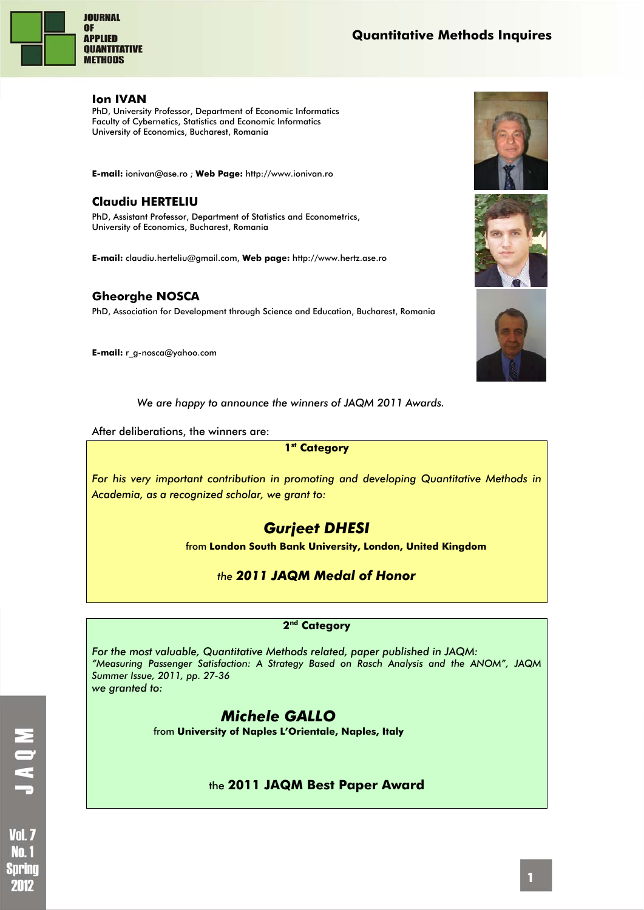

#### **Ion IVAN**

PhD, University Professor, Department of Economic Informatics Faculty of Cybernetics, Statistics and Economic Informatics University of Economics, Bucharest, Romania

**E-mail:** ionivan@ase.ro ; **Web Page:** http://www.ionivan.ro

## **Claudiu HERTELIU**

PhD, Assistant Professor, Department of Statistics and Econometrics, University of Economics, Bucharest, Romania

**E-mail:** claudiu.herteliu@gmail.com, **Web page:** http://www.hertz.ase.ro

### **Gheorghe NOSCA**

PhD, Association for Development through Science and Education, Bucharest, Romania

**E-mail:** r\_g-nosca@yahoo.com



After deliberations, the winners are:

#### **1st Category**

*For his very important contribution in promoting and developing Quantitative Methods in Academia, as a recognized scholar, we grant to:* 

# *Gurjeet DHESI*

from **London South Bank University, London, United Kingdom** 

*the 2011 JAQM Medal of Honor* 

#### **2nd Category**

*For the most valuable, Quantitative Methods related, paper published in JAQM: "Measuring Passenger Satisfaction: A Strategy Based on Rasch Analysis and the ANOM", JAQM Summer Issue, 2011, pp. 27-36 we granted to:* 

# *Michele GALLO*

from **University of Naples L'Orientale, Naples, Italy** 

### the **2011 JAQM Best Paper Award**







**Vol. 7** Nm f Sprinc 2012